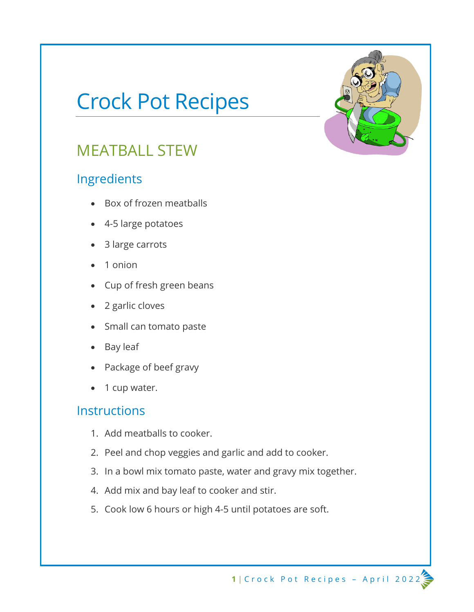# Crock Pot Recipes

### MEATBALL STEW

### Ingredients

- Box of frozen meatballs
- 4-5 large potatoes
- 3 large carrots
- 1 onion
- Cup of fresh green beans
- 2 garlic cloves
- Small can tomato paste
- Bay leaf
- Package of beef gravy
- 1 cup water.

- 1. Add meatballs to cooker.
- 2. Peel and chop veggies and garlic and add to cooker.
- 3. In a bowl mix tomato paste, water and gravy mix together.
- 4. Add mix and bay leaf to cooker and stir.
- 5. Cook low 6 hours or high 4-5 until potatoes are soft.

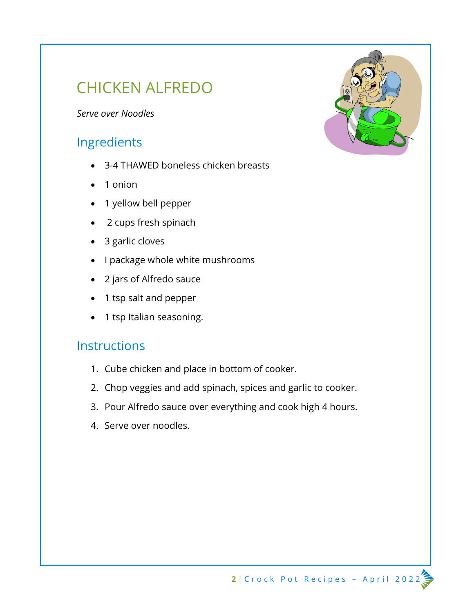### CHICKEN ALFREDO

*Serve over Noodles*

### Ingredients

- 3-4 THAWED boneless chicken breasts
- 1 onion
- 1 yellow bell pepper
- 2 cups fresh spinach
- 3 garlic cloves
- I package whole white mushrooms
- 2 jars of Alfredo sauce
- 1 tsp salt and pepper
- 1 tsp Italian seasoning.

- 1. Cube chicken and place in bottom of cooker.
- 2. Chop veggies and add spinach, spices and garlic to cooker.
- 3. Pour Alfredo sauce over everything and cook high 4 hours.
- 4. Serve over noodles.

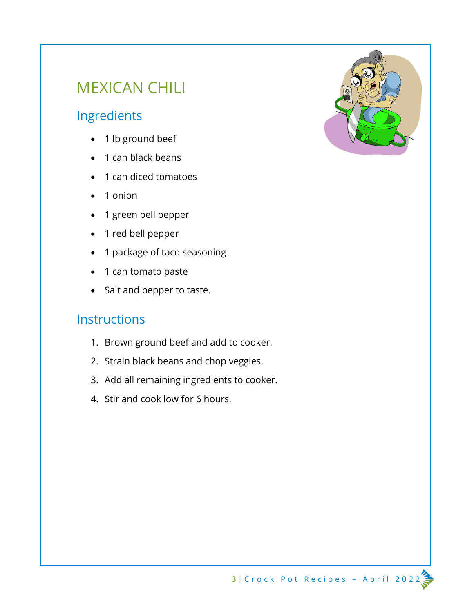## MEXICAN CHILI

### Ingredients

- 1 lb ground beef
- 1 can black beans
- 1 can diced tomatoes
- 1 onion
- 1 green bell pepper
- 1 red bell pepper
- 1 package of taco seasoning
- 1 can tomato paste
- Salt and pepper to taste.

- 1. Brown ground beef and add to cooker.
- 2. Strain black beans and chop veggies.
- 3. Add all remaining ingredients to cooker.
- 4. Stir and cook low for 6 hours.